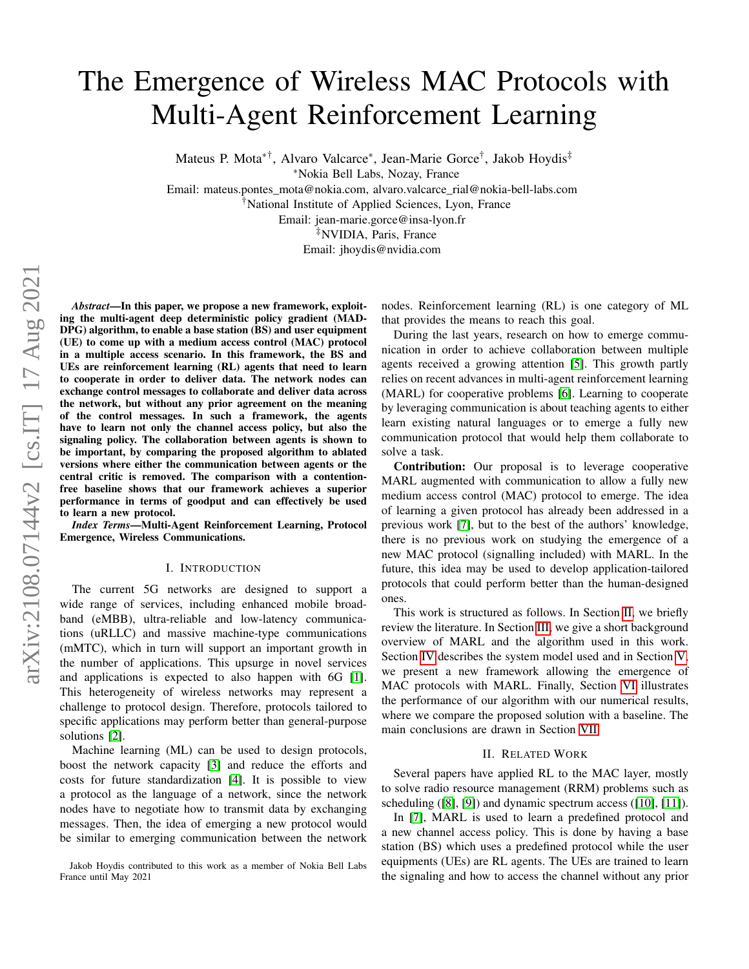# The Emergence of Wireless MAC Protocols with Multi-Agent Reinforcement Learning

Mateus P. Mota∗†, Alvaro Valcarce<sup>∗</sup> , Jean-Marie Gorce† , Jakob Hoydis‡

<sup>∗</sup>Nokia Bell Labs, Nozay, France

Email: mateus.pontes\_mota@nokia.com, alvaro.valcarce\_rial@nokia-bell-labs.com

†National Institute of Applied Sciences, Lyon, France

Email: jean-marie.gorce@insa-lyon.fr

‡NVIDIA, Paris, France

Email: jhoydis@nvidia.com

*Abstract*—In this paper, we propose a new framework, exploiting the multi-agent deep deterministic policy gradient (MAD-DPG) algorithm, to enable a base station (BS) and user equipment (UE) to come up with a medium access control (MAC) protocol in a multiple access scenario. In this framework, the BS and UEs are reinforcement learning (RL) agents that need to learn to cooperate in order to deliver data. The network nodes can exchange control messages to collaborate and deliver data across the network, but without any prior agreement on the meaning of the control messages. In such a framework, the agents have to learn not only the channel access policy, but also the signaling policy. The collaboration between agents is shown to be important, by comparing the proposed algorithm to ablated versions where either the communication between agents or the central critic is removed. The comparison with a contentionfree baseline shows that our framework achieves a superior performance in terms of goodput and can effectively be used to learn a new protocol.

*Index Terms*—Multi-Agent Reinforcement Learning, Protocol Emergence, Wireless Communications.

#### I. INTRODUCTION

The current 5G networks are designed to support a wide range of services, including enhanced mobile broadband (eMBB), ultra-reliable and low-latency communications (uRLLC) and massive machine-type communications (mMTC), which in turn will support an important growth in the number of applications. This upsurge in novel services and applications is expected to also happen with 6G [\[1\]](#page-5-0). This heterogeneity of wireless networks may represent a challenge to protocol design. Therefore, protocols tailored to specific applications may perform better than general-purpose solutions [\[2\]](#page-5-1).

Machine learning (ML) can be used to design protocols, boost the network capacity [\[3\]](#page-5-2) and reduce the efforts and costs for future standardization [\[4\]](#page-5-3). It is possible to view a protocol as the language of a network, since the network nodes have to negotiate how to transmit data by exchanging messages. Then, the idea of emerging a new protocol would be similar to emerging communication between the network nodes. Reinforcement learning (RL) is one category of ML that provides the means to reach this goal.

During the last years, research on how to emerge communication in order to achieve collaboration between multiple agents received a growing attention [\[5\]](#page-5-4). This growth partly relies on recent advances in multi-agent reinforcement learning (MARL) for cooperative problems [\[6\]](#page-5-5). Learning to cooperate by leveraging communication is about teaching agents to either learn existing natural languages or to emerge a fully new communication protocol that would help them collaborate to solve a task.

Contribution: Our proposal is to leverage cooperative MARL augmented with communication to allow a fully new medium access control (MAC) protocol to emerge. The idea of learning a given protocol has already been addressed in a previous work [\[7\]](#page-5-6), but to the best of the authors' knowledge, there is no previous work on studying the emergence of a new MAC protocol (signalling included) with MARL. In the future, this idea may be used to develop application-tailored protocols that could perform better than the human-designed ones.

This work is structured as follows. In Section [II,](#page-0-0) we briefly review the literature. In Section [III,](#page-1-0) we give a short background overview of MARL and the algorithm used in this work. Section [IV](#page-1-1) describes the system model used and in Section [V,](#page-2-0) we present a new framework allowing the emergence of MAC protocols with MARL. Finally, Section [VI](#page-3-0) illustrates the performance of our algorithm with our numerical results, where we compare the proposed solution with a baseline. The main conclusions are drawn in Section [VII.](#page-5-7)

## II. RELATED WORK

<span id="page-0-0"></span>Several papers have applied RL to the MAC layer, mostly to solve radio resource management (RRM) problems such as scheduling ([\[8\]](#page-5-8), [\[9\]](#page-5-9)) and dynamic spectrum access ([\[10\]](#page-5-10), [\[11\]](#page-5-11)).

In [\[7\]](#page-5-6), MARL is used to learn a predefined protocol and a new channel access policy. This is done by having a base station (BS) which uses a predefined protocol while the user equipments (UEs) are RL agents. The UEs are trained to learn the signaling and how to access the channel without any prior

Jakob Hoydis contributed to this work as a member of Nokia Bell Labs France until May 2021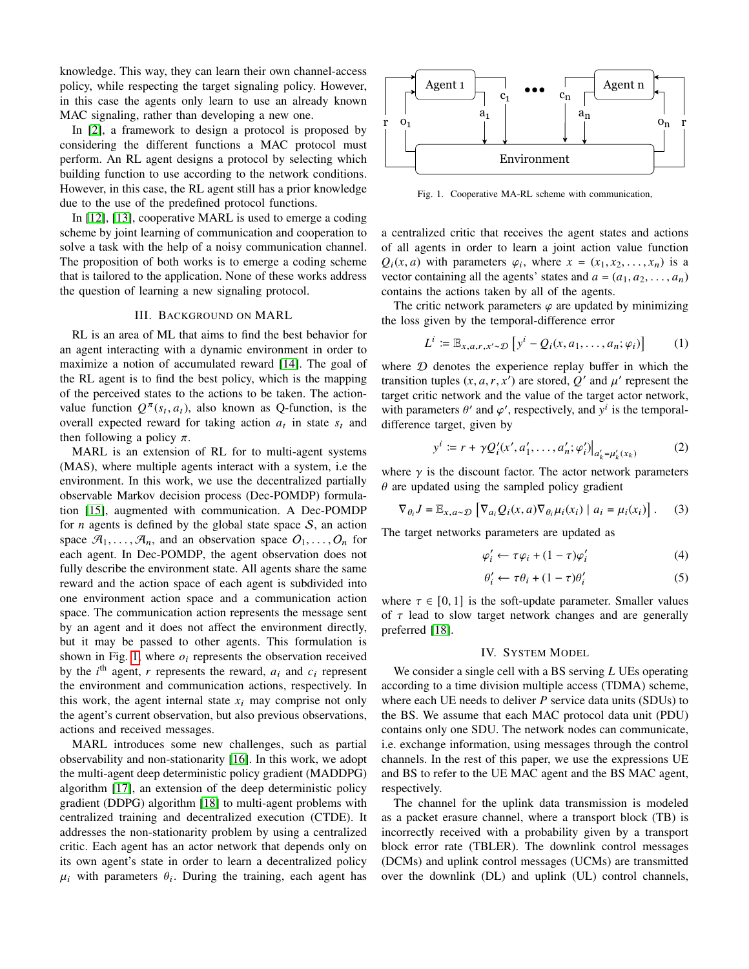knowledge. This way, they can learn their own channel-access policy, while respecting the target signaling policy. However, in this case the agents only learn to use an already known MAC signaling, rather than developing a new one.

In [\[2\]](#page-5-1), a framework to design a protocol is proposed by considering the different functions a MAC protocol must perform. An RL agent designs a protocol by selecting which building function to use according to the network conditions. However, in this case, the RL agent still has a prior knowledge due to the use of the predefined protocol functions.

In [\[12\]](#page-5-12), [\[13\]](#page-5-13), cooperative MARL is used to emerge a coding scheme by joint learning of communication and cooperation to solve a task with the help of a noisy communication channel. The proposition of both works is to emerge a coding scheme that is tailored to the application. None of these works address the question of learning a new signaling protocol.

#### III. BACKGROUND ON MARL

<span id="page-1-0"></span>RL is an area of ML that aims to find the best behavior for an agent interacting with a dynamic environment in order to maximize a notion of accumulated reward [\[14\]](#page-5-14). The goal of the RL agent is to find the best policy, which is the mapping of the perceived states to the actions to be taken. The actionvalue function  $Q^{\pi}(s_t, a_t)$ , also known as Q-function, is the overall expected reward for taking action  $a_t$  in state  $s_t$  and then following a policy  $\pi$ .

MARL is an extension of RL for to multi-agent systems (MAS), where multiple agents interact with a system, i.e the environment. In this work, we use the decentralized partially observable Markov decision process (Dec-POMDP) formulation [\[15\]](#page-5-15), augmented with communication. A Dec-POMDP for  $n$  agents is defined by the global state space  $S$ , an action space  $\mathcal{A}_1, \ldots, \mathcal{A}_n$ , and an observation space  $O_1, \ldots, O_n$  for each agent. In Dec-POMDP, the agent observation does not fully describe the environment state. All agents share the same reward and the action space of each agent is subdivided into one environment action space and a communication action space. The communication action represents the message sent by an agent and it does not affect the environment directly, but it may be passed to other agents. This formulation is shown in Fig. [1,](#page-1-2) where  $o_i$  represents the observation received by the  $i^{\text{th}}$  agent, r represents the reward,  $a_i$  and  $c_i$  represent the environment and communication actions, respectively. In this work, the agent internal state  $x_i$  may comprise not only the agent's current observation, but also previous observations, actions and received messages. non the training of the training of the training of the training of the training of the training of the training of the training of the training of the training of the training of the secondary on the best consideration.<br>

MARL introduces some new challenges, such as partial observability and non-stationarity [\[16\]](#page-5-16). In this work, we adopt the multi-agent deep deterministic policy gradient (MADDPG) algorithm [\[17\]](#page-5-17), an extension of the deep deterministic policy gradient (DDPG) algorithm [\[18\]](#page-5-18) to multi-agent problems with centralized training and decentralized execution (CTDE). It addresses the non-stationarity problem by using a centralized critic. Each agent has an actor network that depends only on its own agent's state in order to learn a decentralized policy  $\mu_i$  with parameters  $\theta_i$ . During the training, each agent has

<span id="page-1-2"></span>

Fig. 1. Cooperative MA-RL scheme with communication,

a centralized critic that receives the agent states and actions of all agents in order to learn a joint action value function  $Q_i(x, a)$  with parameters  $\varphi_i$ , where  $x = (x_1, x_2, \dots, x_n)$  is a vector containing all the agents' states and  $a = (a_1, a_2, \dots, a_n)$ contains the actions taken by all of the agents.

The critic network parameters  $\varphi$  are updated by minimizing the loss given by the temporal-difference error

$$
L^i := \mathbb{E}_{x,a,r,x' \sim \mathcal{D}} \left[ y^i - Q_i(x, a_1, \dots, a_n; \varphi_i) \right] \tag{1}
$$

where  $D$  denotes the experience replay buffer in which the transition tuples  $(x, a, r, x')$  are stored,  $Q'$  and  $\mu'$  represent the target critic network and the value of the target actor network, with parameters  $\theta'$  and  $\varphi'$ , respectively, and  $y^i$  is the temporaldifference target, given by

$$
y^{i} := r + \gamma Q'_{i}(x', a'_{1}, \dots, a'_{n}; \varphi'_{i})|_{a'_{k} = \mu'_{k}(x_{k})}
$$
(2)

where  $\gamma$  is the discount factor. The actor network parameters  $\theta$  are updated using the sampled policy gradient

$$
\nabla_{\theta_i} J = \mathbb{E}_{x, a \sim \mathcal{D}} \left[ \nabla_{a_i} Q_i(x, a) \nabla_{\theta_i} \mu_i(x_i) \mid a_i = \mu_i(x_i) \right]. \tag{3}
$$

The target networks parameters are updated as

$$
\varphi_i' \leftarrow \tau \varphi_i + (1 - \tau) \varphi_i' \tag{4}
$$

$$
\theta_i' \leftarrow \tau \theta_i + (1 - \tau)\theta_i'
$$
 (5)

where  $\tau \in [0, 1]$  is the soft-update parameter. Smaller values of  $\tau$  lead to slow target network changes and are generally preferred [\[18\]](#page-5-18).

## IV. SYSTEM MODEL

<span id="page-1-1"></span>We consider a single cell with a BS serving  $L$  UEs operating according to a time division multiple access (TDMA) scheme, where each UE needs to deliver  $P$  service data units (SDUs) to the BS. We assume that each MAC protocol data unit (PDU) contains only one SDU. The network nodes can communicate, i.e. exchange information, using messages through the control channels. In the rest of this paper, we use the expressions UE and BS to refer to the UE MAC agent and the BS MAC agent, respectively.

The channel for the uplink data transmission is modeled as a packet erasure channel, where a transport block (TB) is incorrectly received with a probability given by a transport block error rate (TBLER). The downlink control messages (DCMs) and uplink control messages (UCMs) are transmitted over the downlink (DL) and uplink (UL) control channels,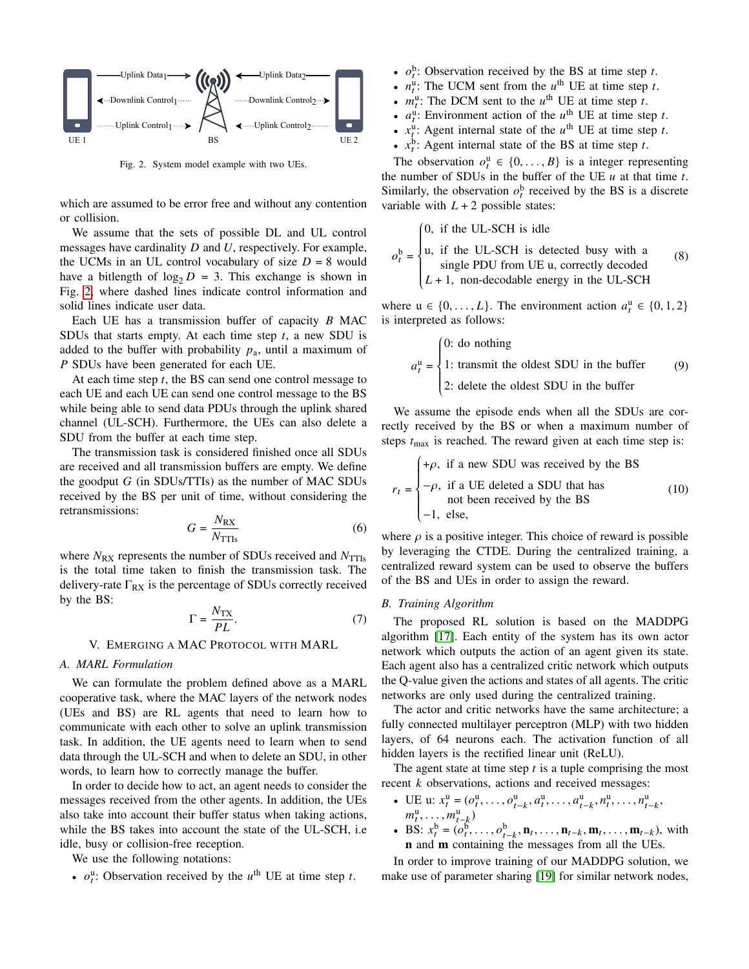<span id="page-2-1"></span>

Fig. 2. System model example with two UEs.

which are assumed to be error free and without any contention or collision.

We assume that the sets of possible DL and UL control messages have cardinality  $D$  and  $U$ , respectively. For example, the UCMs in an UL control vocabulary of size  $D = 8$  would have a bitlength of  $log_2 D = 3$ . This exchange is shown in Fig. [2,](#page-2-1) where dashed lines indicate control information and solid lines indicate user data.

Each UE has a transmission buffer of capacity  $B$  MAC SDUs that starts empty. At each time step  $t$ , a new SDU is added to the buffer with probability  $p_a$ , until a maximum of P SDUs have been generated for each UE.

At each time step  $t$ , the BS can send one control message to each UE and each UE can send one control message to the BS while being able to send data PDUs through the uplink shared channel (UL-SCH). Furthermore, the UEs can also delete a SDU from the buffer at each time step.

The transmission task is considered finished once all SDUs are received and all transmission buffers are empty. We define the goodput  $G$  (in SDUs/TTIs) as the number of MAC SDUs received by the BS per unit of time, without considering the retransmissions:

$$
G = \frac{N_{\rm RX}}{N_{\rm TTIs}}\tag{6}
$$

where  $N_{\text{RX}}$  represents the number of SDUs received and  $N_{\text{TTIs}}$ is the total time taken to finish the transmission task. The delivery-rate  $\Gamma_{RX}$  is the percentage of SDUs correctly received by the BS:

<span id="page-2-2"></span>
$$
\Gamma = \frac{N_{\rm{TX}}}{PL}.\tag{7}
$$

## V. EMERGING A MAC PROTOCOL WITH MARL

## <span id="page-2-0"></span>*A. MARL Formulation*

We can formulate the problem defined above as a MARL cooperative task, where the MAC layers of the network nodes (UEs and BS) are RL agents that need to learn how to communicate with each other to solve an uplink transmission task. In addition, the UE agents need to learn when to send data through the UL-SCH and when to delete an SDU, in other words, to learn how to correctly manage the buffer.

In order to decide how to act, an agent needs to consider the messages received from the other agents. In addition, the UEs also take into account their buffer status when taking actions, while the BS takes into account the state of the UL-SCH, i.e idle, busy or collision-free reception.

We use the following notations:

•  $o_t^{\text{u}}$ : Observation received by the  $u^{\text{th}}$  UE at time step t.

- $\cdot$   $o_t^b$ : Observation received by the BS at time step t.
- $n_t^{\text{u}}$ : The UCM sent from the  $u^{\text{th}}$  UE at time step t.
- $m_t^u$ : The DCM sent to the  $u^{\text{th}}$  UE at time step t.
- $a_t^{\text{u}}$ : Environment action of the  $u^{\text{th}}$  UE at time step t.
- $x_t^{\text{u}}$ : Agent internal state of the  $u^{\text{th}}$  UE at time step t.
- $x_t^b$ : Agent internal state of the BS at time step t.

The observation  $o_t^u \in \{0, ..., B\}$  is a integer representing the number of SDUs in the buffer of the UE  $u$  at that time  $t$ . Similarly, the observation  $o_t^b$  received by the BS is a discrete variable with  $L + 2$  possible states:

$$
o_t^b = \begin{cases} 0, & \text{if the UL-SCH is idle} \\ u, & \text{if the UL-SCH is detected busy with a} \\ & \text{single PDU from UE u, correctly decoded} \\ L+1, & \text{non-decodable energy in the UL-SCH} \end{cases} \tag{8}
$$

J. where  $u \in \{0, ..., L\}$ . The environment action  $a_t^u \in \{0, 1, 2\}$ is interpreted as follows:

$$
a_t^{\mathrm{u}} = \begin{cases} 0: \text{ do nothing} \\ 1: \text{ transmit the oldest SDU in the buffer} \\ 2: \text{ delete the oldest SDU in the buffer} \end{cases} \tag{9}
$$

J. We assume the episode ends when all the SDUs are correctly received by the BS or when a maximum number of steps  $t_{\text{max}}$  is reached. The reward given at each time step is:

$$
r_t = \begin{cases} +\rho, & \text{if a new SDU was received by the BS} \\ -\rho, & \text{if a UE deleted a SDU that has} \\ -1, & \text{else,} \end{cases}
$$
 (10)

where  $\rho$  is a positive integer. This choice of reward is possible by leveraging the CTDE. During the centralized training, a centralized reward system can be used to observe the buffers of the BS and UEs in order to assign the reward.

# *B. Training Algorithm*

The proposed RL solution is based on the MADDPG algorithm [\[17\]](#page-5-17). Each entity of the system has its own actor network which outputs the action of an agent given its state. Each agent also has a centralized critic network which outputs the Q-value given the actions and states of all agents. The critic networks are only used during the centralized training.

The actor and critic networks have the same architecture; a fully connected multilayer perceptron (MLP) with two hidden layers, of 64 neurons each. The activation function of all hidden layers is the rectified linear unit (ReLU).

The agent state at time step  $t$  is a tuple comprising the most recent  $k$  observations, actions and received messages:

- UE u:  $x_t^{\mathbf{u}} = (o_t^{\mathbf{u}}, \dots, o_{t-k}^{\mathbf{u}}, a_t^{\mathbf{u}}, \dots, a_{t-k}^{\mathbf{u}}, n_t^{\mathbf{u}}, \dots, n_{t-k}^{\mathbf{u}},$  $m_t^{\mathrm{u}}, \ldots, m_{t-k}^{\mathrm{u}})$
- BS:  $x_t^b = (o_t^b, \ldots, o_{t-k}^b, \mathbf{n}_t, \ldots, \mathbf{n}_{t-k}, \mathbf{m}_t, \ldots, \mathbf{m}_{t-k})$ , with **n** and **m** containing the messages from all the UEs.

In order to improve training of our MADDPG solution, we make use of parameter sharing [\[19\]](#page-5-19) for similar network nodes,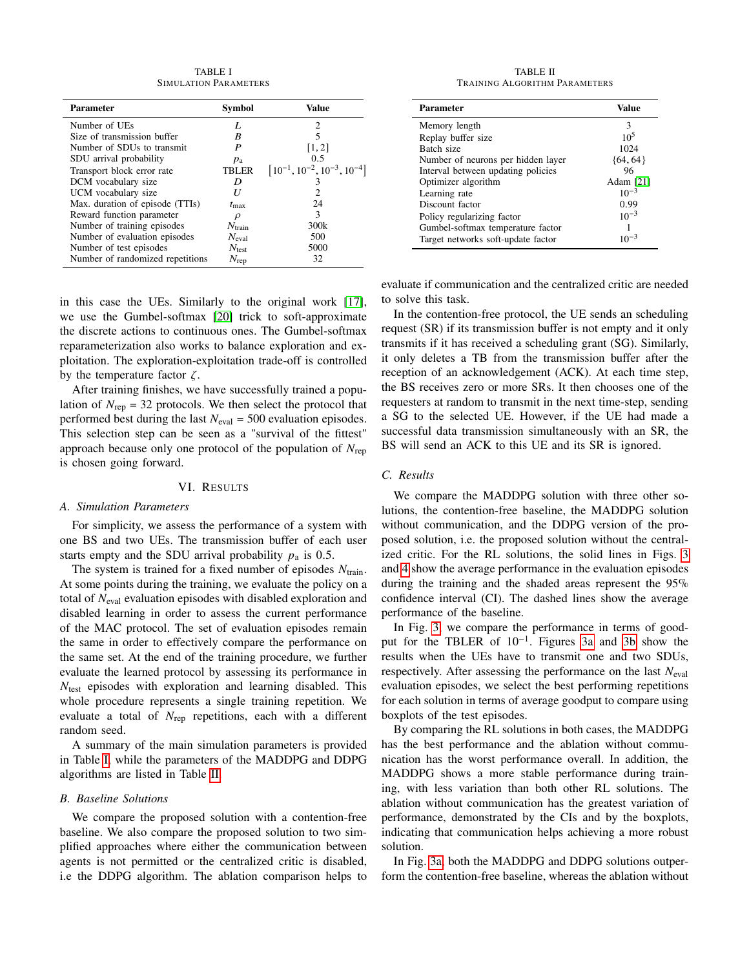TABLE I SIMULATION PARAMETERS

<span id="page-3-1"></span>

| <b>Parameter</b>                 | <b>Symbol</b>      | Value                                  |
|----------------------------------|--------------------|----------------------------------------|
| Number of UEs                    | L                  | 2                                      |
| Size of transmission buffer      | R                  | 5                                      |
| Number of SDUs to transmit       | P                  | [1, 2]                                 |
| SDU arrival probability          | $p_{\rm a}$        | 0.5                                    |
| Transport block error rate       | <b>TBLER</b>       | $[10^{-1}, 10^{-2}, 10^{-3}, 10^{-4}]$ |
| DCM vocabulary size              | D                  |                                        |
| UCM vocabulary size              | U                  | 2                                      |
| Max. duration of episode (TTIs)  | $t_{\rm max}$      | 24                                     |
| Reward function parameter        | $\rho$             | 3                                      |
| Number of training episodes      | $N_{\text{train}}$ | 300k                                   |
| Number of evaluation episodes    | $N_{\rm eval}$     | 500                                    |
| Number of test episodes          | $N_{\rm test}$     | 5000                                   |
| Number of randomized repetitions | $N_{\rm rep}$      | 32                                     |

in this case the UEs. Similarly to the original work [\[17\]](#page-5-17), we use the Gumbel-softmax [\[20\]](#page-5-20) trick to soft-approximate the discrete actions to continuous ones. The Gumbel-softmax reparameterization also works to balance exploration and exploitation. The exploration-exploitation trade-off is controlled by the temperature factor  $\zeta$ .

After training finishes, we have successfully trained a population of  $N_{\text{rep}} = 32$  protocols. We then select the protocol that performed best during the last  $N_{\text{eval}} = 500$  evaluation episodes. This selection step can be seen as a "survival of the fittest" approach because only one protocol of the population of  $N_{\text{rep}}$ is chosen going forward.

### VI. RESULTS

#### <span id="page-3-0"></span>*A. Simulation Parameters*

For simplicity, we assess the performance of a system with one BS and two UEs. The transmission buffer of each user starts empty and the SDU arrival probability  $p_a$  is 0.5.

The system is trained for a fixed number of episodes  $N_{\text{train}}$ . At some points during the training, we evaluate the policy on a total of  $N_{eval}$  evaluation episodes with disabled exploration and disabled learning in order to assess the current performance of the MAC protocol. The set of evaluation episodes remain the same in order to effectively compare the performance on the same set. At the end of the training procedure, we further evaluate the learned protocol by assessing its performance in  $N_{\text{test}}$  episodes with exploration and learning disabled. This whole procedure represents a single training repetition. We evaluate a total of  $N_{\text{rep}}$  repetitions, each with a different random seed.

A summary of the main simulation parameters is provided in Table [I,](#page-3-1) while the parameters of the MADDPG and DDPG algorithms are listed in Table [II.](#page-3-2)

# *B. Baseline Solutions*

We compare the proposed solution with a contention-free baseline. We also compare the proposed solution to two simplified approaches where either the communication between agents is not permitted or the centralized critic is disabled, i.e the DDPG algorithm. The ablation comparison helps to

TABLE II TRAINING ALGORITHM PARAMETERS

<span id="page-3-2"></span>

| Parameter                          | Value           |
|------------------------------------|-----------------|
| Memory length                      | 3               |
| Replay buffer size                 | 10 <sup>5</sup> |
| Batch size                         | 1024            |
| Number of neurons per hidden layer | $\{64, 64\}$    |
| Interval between updating policies | 96              |
| Optimizer algorithm                | Adam [21]       |
| Learning rate                      | $10^{-3}$       |
| Discount factor                    | 0.99            |
| Policy regularizing factor         | $10^{-3}$       |
| Gumbel-softmax temperature factor  |                 |
| Target networks soft-update factor |                 |

evaluate if communication and the centralized critic are needed to solve this task.

In the contention-free protocol, the UE sends an scheduling request (SR) if its transmission buffer is not empty and it only transmits if it has received a scheduling grant (SG). Similarly, it only deletes a TB from the transmission buffer after the reception of an acknowledgement (ACK). At each time step, the BS receives zero or more SRs. It then chooses one of the requesters at random to transmit in the next time-step, sending a SG to the selected UE. However, if the UE had made a successful data transmission simultaneously with an SR, the BS will send an ACK to this UE and its SR is ignored.

## *C. Results*

We compare the MADDPG solution with three other solutions, the contention-free baseline, the MADDPG solution without communication, and the DDPG version of the proposed solution, i.e. the proposed solution without the centralized critic. For the RL solutions, the solid lines in Figs. [3](#page-4-0) and [4](#page-4-1) show the average performance in the evaluation episodes during the training and the shaded areas represent the 95% confidence interval (CI). The dashed lines show the average performance of the baseline.

In Fig. [3,](#page-4-0) we compare the performance in terms of goodput for the TBLER of 10−<sup>1</sup> . Figures [3a](#page-4-0) and [3b](#page-4-0) show the results when the UEs have to transmit one and two SDUs, respectively. After assessing the performance on the last  $N_{\text{eval}}$ evaluation episodes, we select the best performing repetitions for each solution in terms of average goodput to compare using boxplots of the test episodes.

By comparing the RL solutions in both cases, the MADDPG has the best performance and the ablation without communication has the worst performance overall. In addition, the MADDPG shows a more stable performance during training, with less variation than both other RL solutions. The ablation without communication has the greatest variation of performance, demonstrated by the CIs and by the boxplots, indicating that communication helps achieving a more robust solution.

In Fig. [3a,](#page-4-0) both the MADDPG and DDPG solutions outperform the contention-free baseline, whereas the ablation without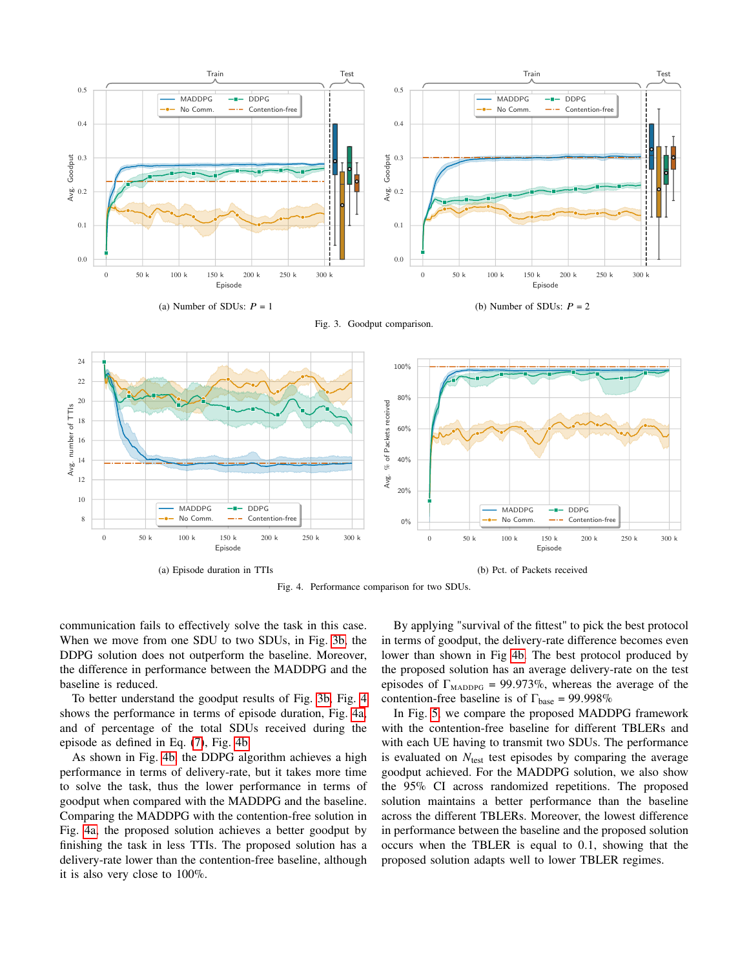<span id="page-4-0"></span>



<span id="page-4-1"></span>

Fig. 4. Performance comparison for two SDUs.

communication fails to effectively solve the task in this case. When we move from one SDU to two SDUs, in Fig. [3b,](#page-4-0) the DDPG solution does not outperform the baseline. Moreover, the difference in performance between the MADDPG and the baseline is reduced.

To better understand the goodput results of Fig. [3b,](#page-4-0) Fig. [4](#page-4-1) shows the performance in terms of episode duration, Fig. [4a,](#page-4-1) and of percentage of the total SDUs received during the episode as defined in Eq. [\(7\)](#page-2-2), Fig. [4b.](#page-4-1)

As shown in Fig. [4b,](#page-4-1) the DDPG algorithm achieves a high performance in terms of delivery-rate, but it takes more time to solve the task, thus the lower performance in terms of goodput when compared with the MADDPG and the baseline. Comparing the MADDPG with the contention-free solution in Fig. [4a,](#page-4-1) the proposed solution achieves a better goodput by finishing the task in less TTIs. The proposed solution has a delivery-rate lower than the contention-free baseline, although it is also very close to 100%.

By applying "survival of the fittest" to pick the best protocol in terms of goodput, the delivery-rate difference becomes even lower than shown in Fig [4b.](#page-4-1) The best protocol produced by the proposed solution has an average delivery-rate on the test episodes of  $\Gamma_{\text{MADDPG}} = 99.973\%$ , whereas the average of the contention-free baseline is of  $\Gamma_{base} = 99.998\%$ 

In Fig. [5,](#page-5-22) we compare the proposed MADDPG framework with the contention-free baseline for different TBLERs and with each UE having to transmit two SDUs. The performance is evaluated on  $N_{\text{test}}$  test episodes by comparing the average goodput achieved. For the MADDPG solution, we also show the 95% CI across randomized repetitions. The proposed solution maintains a better performance than the baseline across the different TBLERs. Moreover, the lowest difference in performance between the baseline and the proposed solution occurs when the TBLER is equal to 0.1, showing that the proposed solution adapts well to lower TBLER regimes.